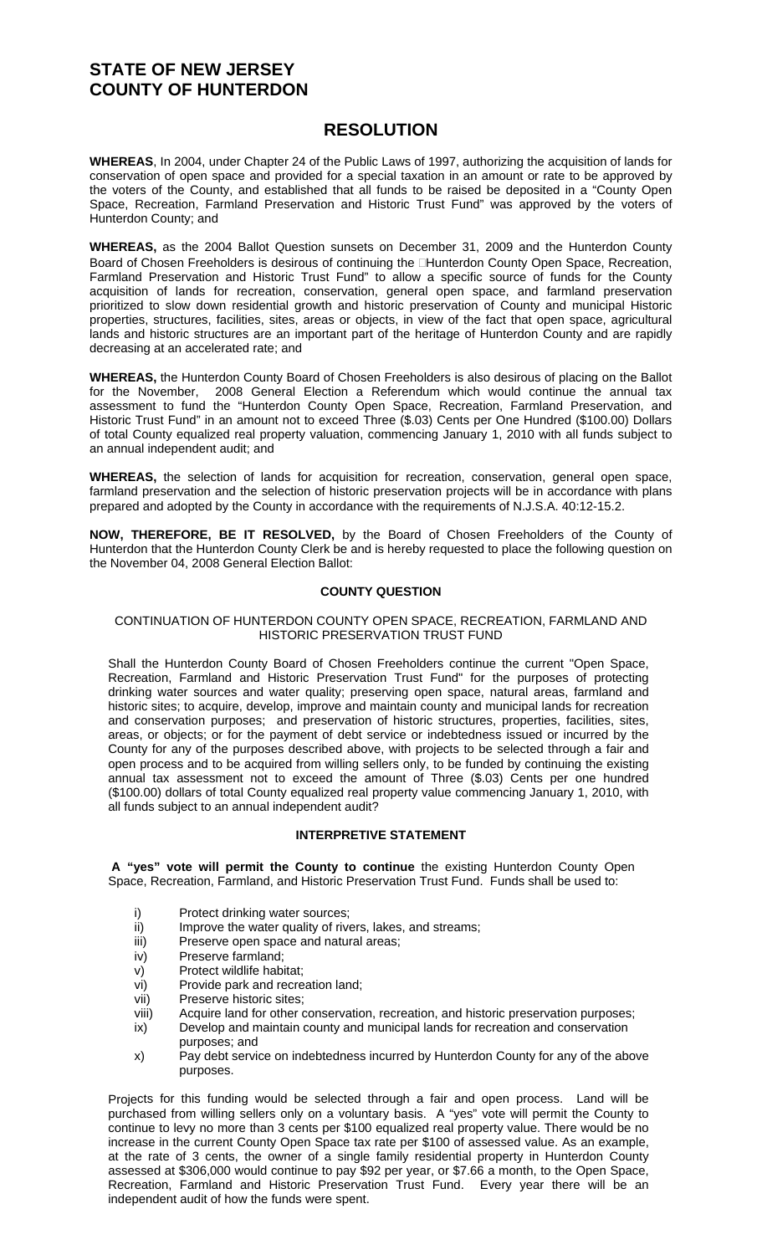# **STATE OF NEW JERSEY COUNTY OF HUNTERDON**

## **RESOLUTION**

**WHEREAS**, In 2004, under Chapter 24 of the Public Laws of 1997, authorizing the acquisition of lands for conservation of open space and provided for a special taxation in an amount or rate to be approved by the voters of the County, and established that all funds to be raised be deposited in a "County Open Space, Recreation, Farmland Preservation and Historic Trust Fund" was approved by the voters of Hunterdon County; and

**WHEREAS,** as the 2004 Ballot Question sunsets on December 31, 2009 and the Hunterdon County Board of Chosen Freeholders is desirous of continuing the **Hunterdon County Open Space, Recreation**, Farmland Preservation and Historic Trust Fund" to allow a specific source of funds for the County acquisition of lands for recreation, conservation, general open space, and farmland preservation prioritized to slow down residential growth and historic preservation of County and municipal Historic properties, structures, facilities, sites, areas or objects, in view of the fact that open space, agricultural lands and historic structures are an important part of the heritage of Hunterdon County and are rapidly decreasing at an accelerated rate; and

**WHEREAS,** the Hunterdon County Board of Chosen Freeholders is also desirous of placing on the Ballot for the November, 2008 General Election a Referendum which would continue the annual tax assessment to fund the "Hunterdon County Open Space, Recreation, Farmland Preservation, and Historic Trust Fund" in an amount not to exceed Three (\$.03) Cents per One Hundred (\$100.00) Dollars of total County equalized real property valuation, commencing January 1, 2010 with all funds subject to an annual independent audit; and

**WHEREAS,** the selection of lands for acquisition for recreation, conservation, general open space, farmland preservation and the selection of historic preservation projects will be in accordance with plans prepared and adopted by the County in accordance with the requirements of N.J.S.A. 40:12-15.2.

**NOW, THEREFORE, BE IT RESOLVED,** by the Board of Chosen Freeholders of the County of Hunterdon that the Hunterdon County Clerk be and is hereby requested to place the following question on the November 04, 2008 General Election Ballot:

### **COUNTY QUESTION**

#### CONTINUATION OF HUNTERDON COUNTY OPEN SPACE, RECREATION, FARMLAND AND HISTORIC PRESERVATION TRUST FUND

Shall the Hunterdon County Board of Chosen Freeholders continue the current "Open Space, Recreation, Farmland and Historic Preservation Trust Fund" for the purposes of protecting drinking water sources and water quality; preserving open space, natural areas, farmland and historic sites; to acquire, develop, improve and maintain county and municipal lands for recreation and conservation purposes; and preservation of historic structures, properties, facilities, sites, areas, or objects; or for the payment of debt service or indebtedness issued or incurred by the County for any of the purposes described above, with projects to be selected through a fair and open process and to be acquired from willing sellers only, to be funded by continuing the existing annual tax assessment not to exceed the amount of Three (\$.03) Cents per one hundred (\$100.00) dollars of total County equalized real property value commencing January 1, 2010, with all funds subject to an annual independent audit?

### **INTERPRETIVE STATEMENT**

**A "yes" vote will permit the County to continue** the existing Hunterdon County Open Space, Recreation, Farmland, and Historic Preservation Trust Fund. Funds shall be used to:

- i) Protect drinking water sources;
- ii) Improve the water quality of rivers, lakes, and streams;
- iii) Preserve open space and natural areas;
- iv) Preserve farmland;
- v) Protect wildlife habitat;
- vi) Provide park and recreation land;
- vii) Preserve historic sites;
- viii) Acquire land for other conservation, recreation, and historic preservation purposes;
- ix) Develop and maintain county and municipal lands for recreation and conservation purposes; and
- x) Pay debt service on indebtedness incurred by Hunterdon County for any of the above purposes.

Projects for this funding would be selected through a fair and open process. Land will be purchased from willing sellers only on a voluntary basis. A "yes" vote will permit the County to continue to levy no more than 3 cents per \$100 equalized real property value. There would be no increase in the current County Open Space tax rate per \$100 of assessed value. As an example, at the rate of 3 cents, the owner of a single family residential property in Hunterdon County assessed at \$306,000 would continue to pay \$92 per year, or \$7.66 a month, to the Open Space, Recreation, Farmland and Historic Preservation Trust Fund. Every year there will be an independent audit of how the funds were spent.